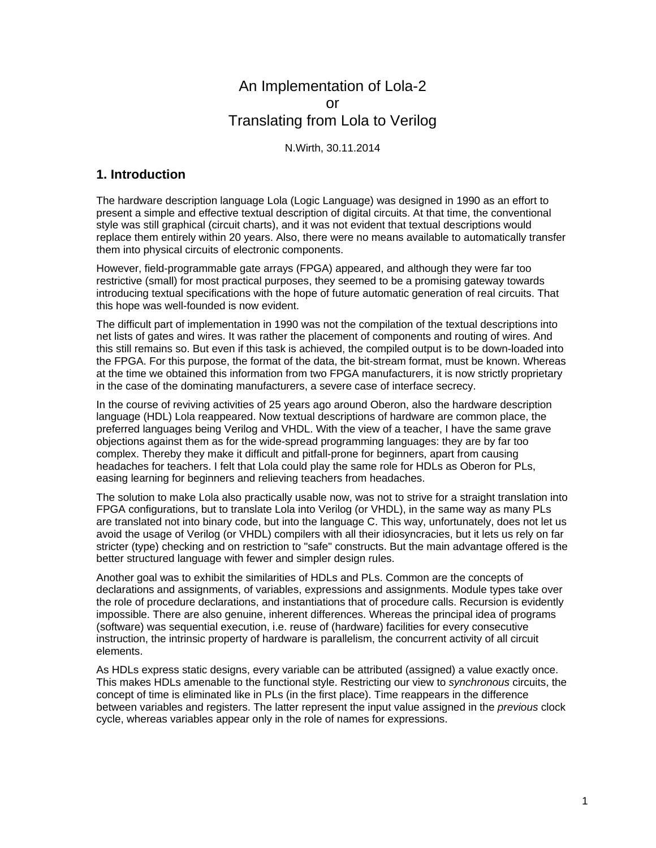## An Implementation of Lola-2 or Translating from Lola to Verilog

N.Wirth, 30.11.2014

## **1. Introduction**

The hardware description language Lola (Logic Language) was designed in 1990 as an effort to present a simple and effective textual description of digital circuits. At that time, the conventional style was still graphical (circuit charts), and it was not evident that textual descriptions would replace them entirely within 20 years. Also, there were no means available to automatically transfer them into physical circuits of electronic components.

However, field-programmable gate arrays (FPGA) appeared, and although they were far too restrictive (small) for most practical purposes, they seemed to be a promising gateway towards introducing textual specifications with the hope of future automatic generation of real circuits. That this hope was well-founded is now evident.

The difficult part of implementation in 1990 was not the compilation of the textual descriptions into net lists of gates and wires. It was rather the placement of components and routing of wires. And this still remains so. But even if this task is achieved, the compiled output is to be down-loaded into the FPGA. For this purpose, the format of the data, the bit-stream format, must be known. Whereas at the time we obtained this information from two FPGA manufacturers, it is now strictly proprietary in the case of the dominating manufacturers, a severe case of interface secrecy.

In the course of reviving activities of 25 years ago around Oberon, also the hardware description language (HDL) Lola reappeared. Now textual descriptions of hardware are common place, the preferred languages being Verilog and VHDL. With the view of a teacher, I have the same grave objections against them as for the wide-spread programming languages: they are by far too complex. Thereby they make it difficult and pitfall-prone for beginners, apart from causing headaches for teachers. I felt that Lola could play the same role for HDLs as Oberon for PLs, easing learning for beginners and relieving teachers from headaches.

The solution to make Lola also practically usable now, was not to strive for a straight translation into FPGA configurations, but to translate Lola into Verilog (or VHDL), in the same way as many PLs are translated not into binary code, but into the language C. This way, unfortunately, does not let us avoid the usage of Verilog (or VHDL) compilers with all their idiosyncracies, but it lets us rely on far stricter (type) checking and on restriction to "safe" constructs. But the main advantage offered is the better structured language with fewer and simpler design rules.

Another goal was to exhibit the similarities of HDLs and PLs. Common are the concepts of declarations and assignments, of variables, expressions and assignments. Module types take over the role of procedure declarations, and instantiations that of procedure calls. Recursion is evidently impossible. There are also genuine, inherent differences. Whereas the principal idea of programs (software) was sequential execution, i.e. reuse of (hardware) facilities for every consecutive instruction, the intrinsic property of hardware is parallelism, the concurrent activity of all circuit elements.

As HDLs express static designs, every variable can be attributed (assigned) a value exactly once. This makes HDLs amenable to the functional style. Restricting our view to *synchronous* circuits, the concept of time is eliminated like in PLs (in the first place). Time reappears in the difference between variables and registers. The latter represent the input value assigned in the *previous* clock cycle, whereas variables appear only in the role of names for expressions.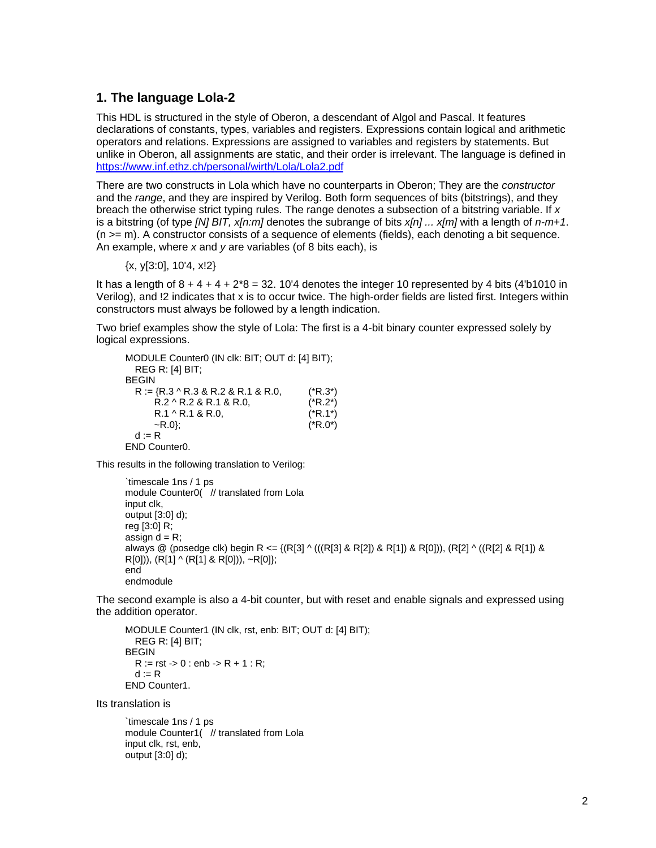## **1. The language Lola-2**

This HDL is structured in the style of Oberon, a descendant of Algol and Pascal. It features declarations of constants, types, variables and registers. Expressions contain logical and arithmetic operators and relations. Expressions are assigned to variables and registers by statements. But unlike in Oberon, all assignments are static, and their order is irrelevant. The language is defined in https://www.inf.ethz.ch/personal/wirth/Lola/Lola2.pdf

There are two constructs in Lola which have no counterparts in Oberon; They are the *constructor* and the *range*, and they are inspired by Verilog. Both form sequences of bits (bitstrings), and they breach the otherwise strict typing rules. The range denotes a subsection of a bitstring variable. If *x* is a bitstring (of type *[N] BIT, x[n:m]* denotes the subrange of bits *x[n] ... x[m]* with a length of *n-m+1*.  $(n \ge m)$ . A constructor consists of a sequence of elements (fields), each denoting a bit sequence. An example, where *x* and *y* are variables (of 8 bits each), is

{x, y[3:0], 10'4, x!2}

It has a length of  $8 + 4 + 4 + 2*8 = 32$ . 10'4 denotes the integer 10 represented by 4 bits (4'b1010 in Verilog), and !2 indicates that x is to occur twice. The high-order fields are listed first. Integers within constructors must always be followed by a length indication.

Two brief examples show the style of Lola: The first is a 4-bit binary counter expressed solely by logical expressions.

MODULE Counter0 (IN clk: BIT; OUT d: [4] BIT); REG R: [4] BIT; BEGIN  $R := \{R.3 \land R.3 \& R.2 \& R.1 \& R.0,$  (\*R.3\*)  $R.2 \wedge R.2 \& R.1 \& R.0,$  (\* $R.2^*$ )  $R.1 \wedge R.1 \& R.0,$  (\* $R.1^*$ )  $\sim$ R.0}; (\*R.0\*)  $d := R$ END Counter0.

This results in the following translation to Verilog:

```
`timescale 1ns / 1 ps 
module Counter0( // translated from Lola
input clk, 
output [3:0] d); 
reg [3:0] R; 
assign d = R;
always @ (posedge clk) begin R <= {(R[3] \wedge ((R[3] \& R[2]) \& R[1]) \& R[0]), (R[2] \wedge ((R[2] \& R[1]) \& R[2])R[0])), (R[1] ^ (R[1] & R[0])), ~R[0]}; 
end 
endmodule
```
The second example is also a 4-bit counter, but with reset and enable signals and expressed using the addition operator.

```
MODULE Counter1 (IN clk, rst, enb: BIT; OUT d: [4] BIT); 
   REG R: [4] BIT; 
BEGIN 
  R := rst -b 0: enb -b R + 1: R;
  d = REND Counter1.
```
Its translation is

`timescale 1ns / 1 ps module Counter1( // translated from Lola input clk, rst, enb, output [3:0] d);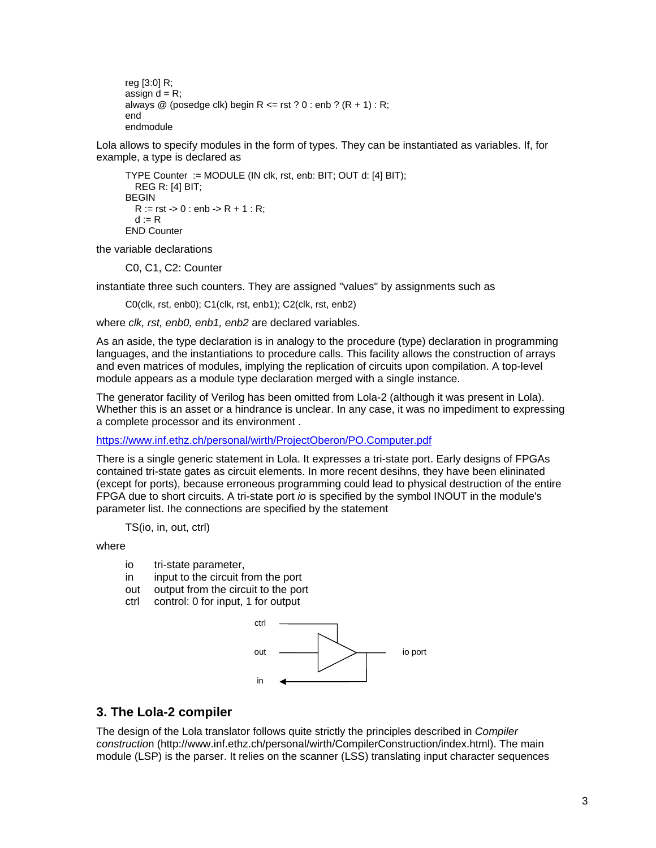```
reg [3:0] R; 
assign d = R;
always @ (posedge clk) begin R <= rst ? 0 : enb ? (R + 1) : R;
end 
endmodule
```
Lola allows to specify modules in the form of types. They can be instantiated as variables. If, for example, a type is declared as

```
TYPE Counter := MODULE (IN clk, rst, enb: BIT; OUT d: [4] BIT); 
   REG R: [4] BIT; 
BEGIN 
  R := rst -b 0: enb -b R + 1: R;
  d := REND Counter
```
the variable declarations

C0, C1, C2: Counter

instantiate three such counters. They are assigned "values" by assignments such as

C0(clk, rst, enb0); C1(clk, rst, enb1); C2(clk, rst, enb2)

where *clk, rst, enb0, enb1, enb2* are declared variables.

As an aside, the type declaration is in analogy to the procedure (type) declaration in programming languages, and the instantiations to procedure calls. This facility allows the construction of arrays and even matrices of modules, implying the replication of circuits upon compilation. A top-level module appears as a module type declaration merged with a single instance.

The generator facility of Verilog has been omitted from Lola-2 (although it was present in Lola). Whether this is an asset or a hindrance is unclear. In any case, it was no impediment to expressing a complete processor and its environment .

https://www.inf.ethz.ch/personal/wirth/ProjectOberon/PO.Computer.pdf

There is a single generic statement in Lola. It expresses a tri-state port. Early designs of FPGAs contained tri-state gates as circuit elements. In more recent desihns, they have been elininated (except for ports), because erroneous programming could lead to physical destruction of the entire FPGA due to short circuits. A tri-state port *io* is specified by the symbol INOUT in the module's parameter list. Ihe connections are specified by the statement

TS(io, in, out, ctrl)

where

- io tri-state parameter,
- in input to the circuit from the port
- out output from the circuit to the port
- ctrl control: 0 for input, 1 for output



## **3. The Lola-2 compiler**

The design of the Lola translator follows quite strictly the principles described in *Compiler constructio*n (http://www.inf.ethz.ch/personal/wirth/CompilerConstruction/index.html). The main module (LSP) is the parser. It relies on the scanner (LSS) translating input character sequences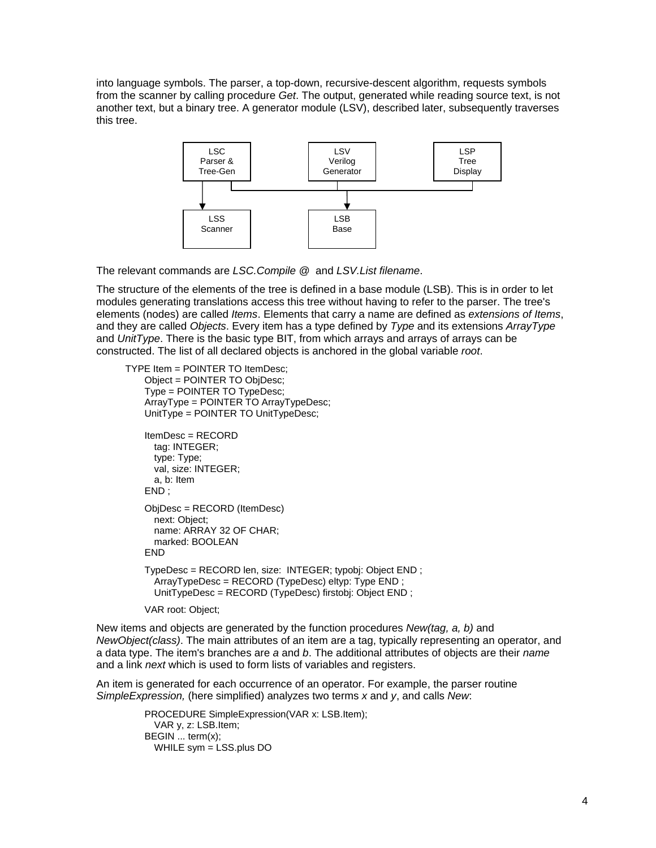into language symbols. The parser, a top-down, recursive-descent algorithm, requests symbols from the scanner by calling procedure *Get*. The output, generated while reading source text, is not another text, but a binary tree. A generator module (LSV), described later, subsequently traverses this tree.



The relevant commands are *LSC.Compile @* and *LSV.List filename*.

The structure of the elements of the tree is defined in a base module (LSB). This is in order to let modules generating translations access this tree without having to refer to the parser. The tree's elements (nodes) are called *Items*. Elements that carry a name are defined as *extensions of Items*, and they are called *Objects*. Every item has a type defined by *Type* and its extensions *ArrayType* and *UnitType*. There is the basic type BIT, from which arrays and arrays of arrays can be constructed. The list of all declared objects is anchored in the global variable *root*.

TYPE Item = POINTER TO ItemDesc;

```
 Object = POINTER TO ObjDesc; 
 Type = POINTER TO TypeDesc; 
 ArrayType = POINTER TO ArrayTypeDesc; 
 UnitType = POINTER TO UnitTypeDesc; 
 ItemDesc = RECORD 
   tag: INTEGER; 
   type: Type; 
  val, size: INTEGER; 
   a, b: Item
```

```
 END ; 
 ObjDesc = RECORD (ItemDesc) 
   next: Object;
```
 name: ARRAY 32 OF CHAR; marked: BOOLEAN

 TypeDesc = RECORD len, size: INTEGER; typobj: Object END ; ArrayTypeDesc = RECORD (TypeDesc) eltyp: Type END ; UnitTypeDesc = RECORD (TypeDesc) firstobj: Object END ;

VAR root: Object;

END

New items and objects are generated by the function procedures *New(tag, a, b)* and *NewObject(class)*. The main attributes of an item are a tag, typically representing an operator, and a data type. The item's branches are *a* and *b*. The additional attributes of objects are their *name* and a link *next* which is used to form lists of variables and registers.

An item is generated for each occurrence of an operator. For example, the parser routine *SimpleExpression,* (here simplified) analyzes two terms *x* and *y*, and calls *New*:

> PROCEDURE SimpleExpression(VAR x: LSB.Item); VAR y, z: LSB.Item; BEGIN ... term(x); WHILE sym = LSS.plus DO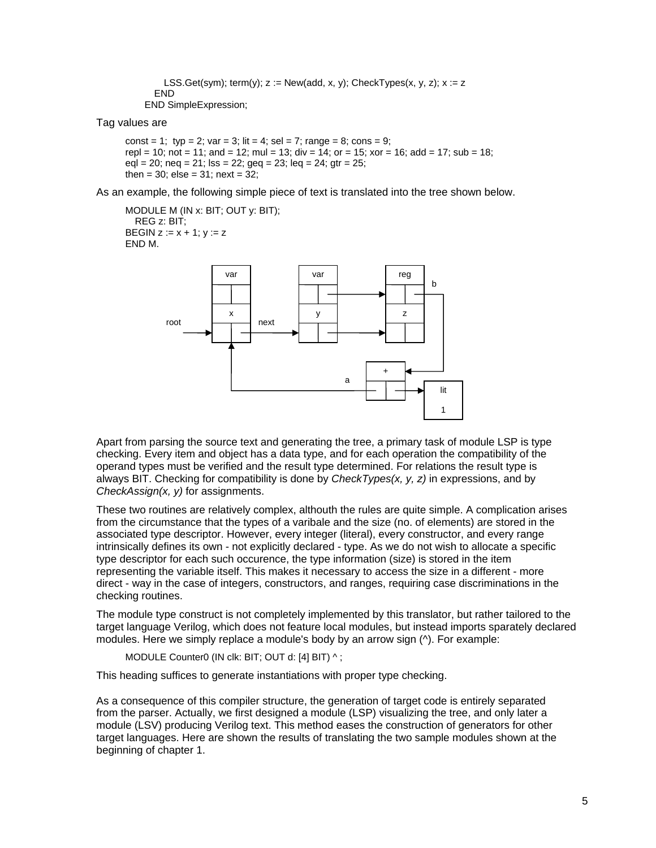```
LSS.Get(sym); term(y); z := New(add, x, y); CheckTypes(x, y, z); x := z END 
 END SimpleExpression;
```
Tag values are

const = 1; typ = 2; var = 3; lit = 4; sel = 7; range = 8; cons = 9; repl = 10; not = 11; and = 12; mul = 13; div = 14; or = 15; xor = 16; add = 17; sub = 18;  $\text{eql} = 20$ ; neq = 21; lss = 22; geq = 23; leq = 24; gtr = 25; then =  $30$ ; else =  $31$ ; next =  $32$ ;

As an example, the following simple piece of text is translated into the tree shown below.

MODULE M (IN x: BIT; OUT y: BIT); REG z: BIT; BEGIN  $z := x + 1$ ;  $y := z$ END M.



Apart from parsing the source text and generating the tree, a primary task of module LSP is type checking. Every item and object has a data type, and for each operation the compatibility of the operand types must be verified and the result type determined. For relations the result type is always BIT. Checking for compatibility is done by *CheckTypes(x, y, z)* in expressions, and by *CheckAssign(x, y)* for assignments.

These two routines are relatively complex, althouth the rules are quite simple. A complication arises from the circumstance that the types of a varibale and the size (no. of elements) are stored in the associated type descriptor. However, every integer (literal), every constructor, and every range intrinsically defines its own - not explicitly declared - type. As we do not wish to allocate a specific type descriptor for each such occurence, the type information (size) is stored in the item representing the variable itself. This makes it necessary to access the size in a different - more direct - way in the case of integers, constructors, and ranges, requiring case discriminations in the checking routines.

The module type construct is not completely implemented by this translator, but rather tailored to the target language Verilog, which does not feature local modules, but instead imports sparately declared modules. Here we simply replace a module's body by an arrow sign (^). For example:

MODULE Counter0 (IN clk: BIT; OUT d: [4] BIT) ^;

This heading suffices to generate instantiations with proper type checking.

As a consequence of this compiler structure, the generation of target code is entirely separated from the parser. Actually, we first designed a module (LSP) visualizing the tree, and only later a module (LSV) producing Verilog text. This method eases the construction of generators for other target languages. Here are shown the results of translating the two sample modules shown at the beginning of chapter 1.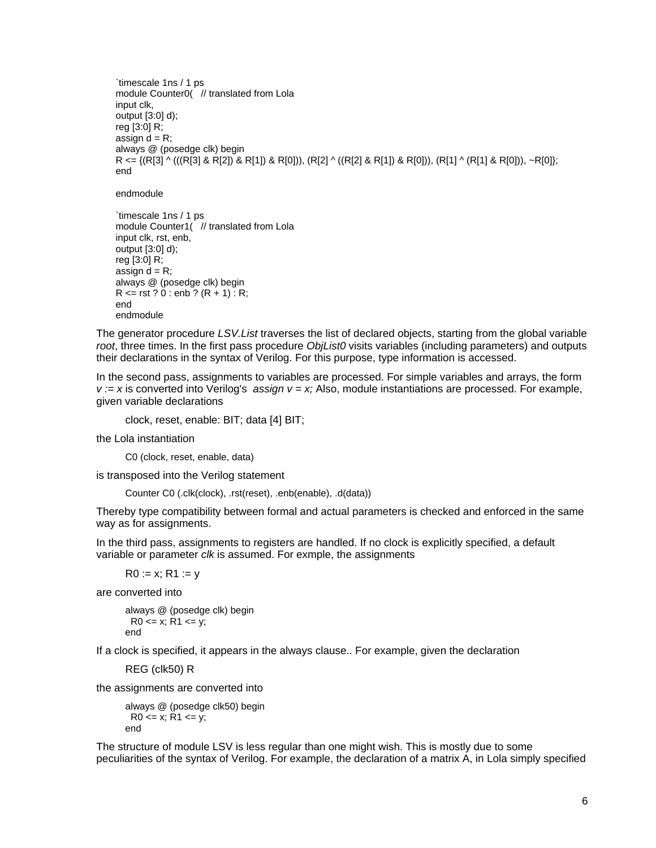`timescale 1ns / 1 ps module Counter0( // translated from Lola input clk, output [3:0] d); reg [3:0] R; assign  $d = R$ ; always @ (posedge clk) begin R <= {(R[3] ^ (((R[3] & R[2]) & R[1]) & R[0])), (R[2] ^ ((R[2] & R[1]) & R[0])), (R[1] ^ (R[1] & R[0])), ~R[0]}; end

endmodule

`timescale 1ns / 1 ps module Counter1( // translated from Lola input clk, rst, enb, output [3:0] d); reg [3:0] R; assign  $d = R$ ; always @ (posedge clk) begin  $R \leq r$  rst ? 0 : enb ?  $(R + 1)$  : R; end endmodule

The generator procedure *LSV.List* traverses the list of declared objects, starting from the global variable *root*, three times. In the first pass procedure *ObjList0* visits variables (including parameters) and outputs their declarations in the syntax of Verilog. For this purpose, type information is accessed.

In the second pass, assignments to variables are processed. For simple variables and arrays, the form *v := x* is converted into Verilog's *assign v = x;* Also, module instantiations are processed. For example, given variable declarations

clock, reset, enable: BIT; data [4] BIT;

the Lola instantiation

C0 (clock, reset, enable, data)

is transposed into the Verilog statement

Counter C0 (.clk(clock), .rst(reset), .enb(enable), .d(data))

Thereby type compatibility between formal and actual parameters is checked and enforced in the same way as for assignments.

In the third pass, assignments to registers are handled. If no clock is explicitly specified, a default variable or parameter *clk* is assumed. For exmple, the assignments

 $R0 := x: R1 := v$ 

are converted into

always @ (posedge clk) begin  $R0 \le x$ ;  $R1 \le y$ ; end

If a clock is specified, it appears in the always clause.. For example, given the declaration

REG (clk50) R

the assignments are converted into

always @ (posedge clk50) begin  $R0 \le x$ ;  $R1 \le y$ ; end

The structure of module LSV is less regular than one might wish. This is mostly due to some peculiarities of the syntax of Verilog. For example, the declaration of a matrix A, in Lola simply specified